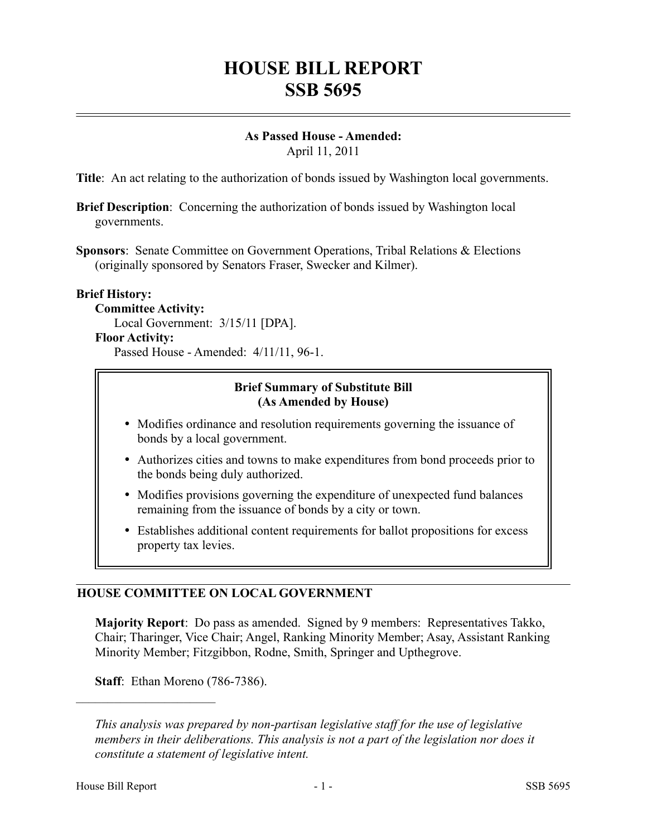# **HOUSE BILL REPORT SSB 5695**

# **As Passed House - Amended:**

April 11, 2011

**Title**: An act relating to the authorization of bonds issued by Washington local governments.

**Brief Description**: Concerning the authorization of bonds issued by Washington local governments.

**Sponsors**: Senate Committee on Government Operations, Tribal Relations & Elections (originally sponsored by Senators Fraser, Swecker and Kilmer).

#### **Brief History:**

#### **Committee Activity:**

Local Government: 3/15/11 [DPA].

#### **Floor Activity:**

Passed House - Amended: 4/11/11, 96-1.

### **Brief Summary of Substitute Bill (As Amended by House)**

- Modifies ordinance and resolution requirements governing the issuance of bonds by a local government.
- Authorizes cities and towns to make expenditures from bond proceeds prior to the bonds being duly authorized.
- Modifies provisions governing the expenditure of unexpected fund balances remaining from the issuance of bonds by a city or town.
- Establishes additional content requirements for ballot propositions for excess property tax levies.

## **HOUSE COMMITTEE ON LOCAL GOVERNMENT**

**Majority Report**: Do pass as amended. Signed by 9 members: Representatives Takko, Chair; Tharinger, Vice Chair; Angel, Ranking Minority Member; Asay, Assistant Ranking Minority Member; Fitzgibbon, Rodne, Smith, Springer and Upthegrove.

**Staff**: Ethan Moreno (786-7386).

––––––––––––––––––––––

*This analysis was prepared by non-partisan legislative staff for the use of legislative members in their deliberations. This analysis is not a part of the legislation nor does it constitute a statement of legislative intent.*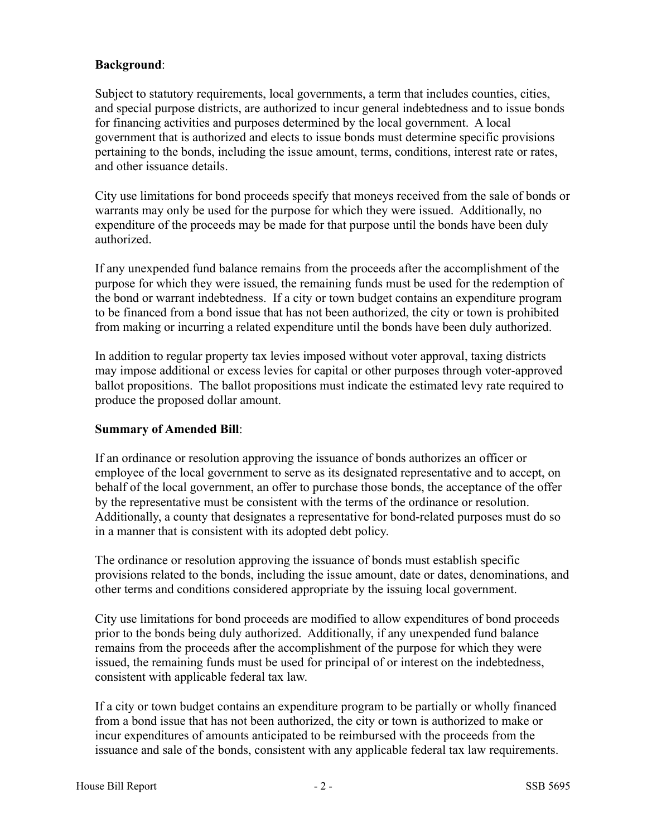#### **Background**:

Subject to statutory requirements, local governments, a term that includes counties, cities, and special purpose districts, are authorized to incur general indebtedness and to issue bonds for financing activities and purposes determined by the local government. A local government that is authorized and elects to issue bonds must determine specific provisions pertaining to the bonds, including the issue amount, terms, conditions, interest rate or rates, and other issuance details.

City use limitations for bond proceeds specify that moneys received from the sale of bonds or warrants may only be used for the purpose for which they were issued. Additionally, no expenditure of the proceeds may be made for that purpose until the bonds have been duly authorized.

If any unexpended fund balance remains from the proceeds after the accomplishment of the purpose for which they were issued, the remaining funds must be used for the redemption of the bond or warrant indebtedness. If a city or town budget contains an expenditure program to be financed from a bond issue that has not been authorized, the city or town is prohibited from making or incurring a related expenditure until the bonds have been duly authorized.

In addition to regular property tax levies imposed without voter approval, taxing districts may impose additional or excess levies for capital or other purposes through voter-approved ballot propositions. The ballot propositions must indicate the estimated levy rate required to produce the proposed dollar amount.

#### **Summary of Amended Bill**:

If an ordinance or resolution approving the issuance of bonds authorizes an officer or employee of the local government to serve as its designated representative and to accept, on behalf of the local government, an offer to purchase those bonds, the acceptance of the offer by the representative must be consistent with the terms of the ordinance or resolution. Additionally, a county that designates a representative for bond-related purposes must do so in a manner that is consistent with its adopted debt policy.

The ordinance or resolution approving the issuance of bonds must establish specific provisions related to the bonds, including the issue amount, date or dates, denominations, and other terms and conditions considered appropriate by the issuing local government.

City use limitations for bond proceeds are modified to allow expenditures of bond proceeds prior to the bonds being duly authorized. Additionally, if any unexpended fund balance remains from the proceeds after the accomplishment of the purpose for which they were issued, the remaining funds must be used for principal of or interest on the indebtedness, consistent with applicable federal tax law.

If a city or town budget contains an expenditure program to be partially or wholly financed from a bond issue that has not been authorized, the city or town is authorized to make or incur expenditures of amounts anticipated to be reimbursed with the proceeds from the issuance and sale of the bonds, consistent with any applicable federal tax law requirements.